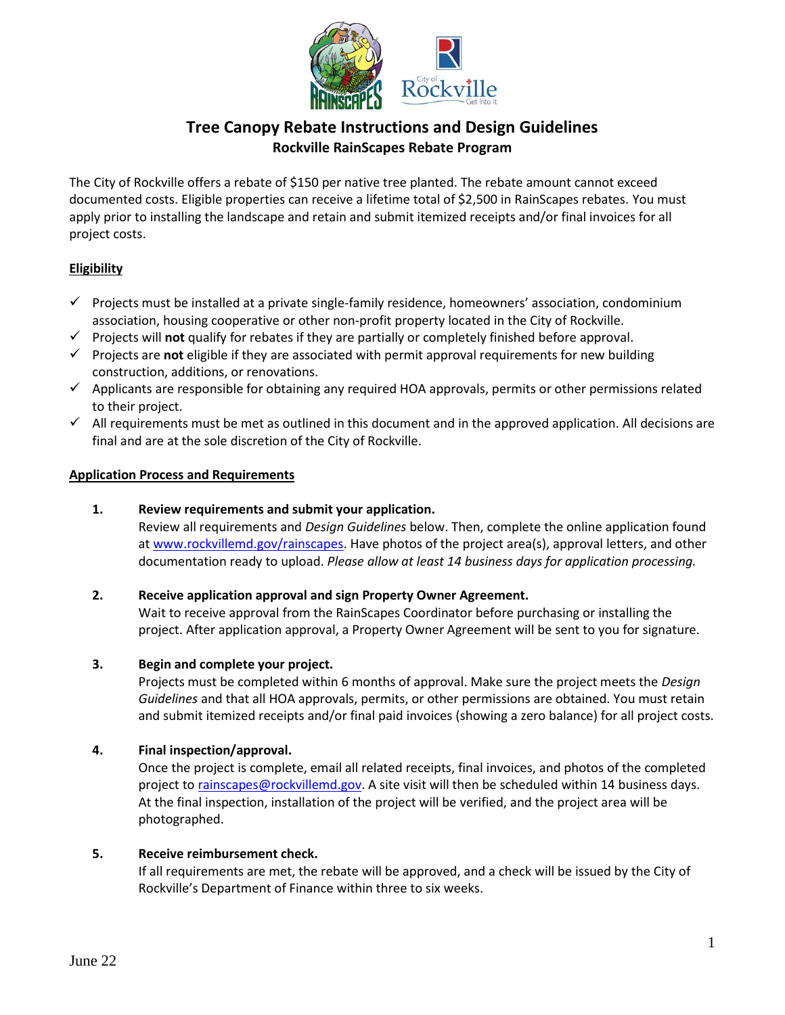

# **Tree Canopy Rebate Instructions and Design Guidelines Rockville RainScapes Rebate Program**

The City of Rockville offers a rebate of \$150 per native tree planted. The rebate amount cannot exceed documented costs. Eligible properties can receive a lifetime total of \$2,500 in RainScapes rebates. You must apply prior to installing the landscape and retain and submit itemized receipts and/or final invoices for all project costs.

## **Eligibility**

- ✓ Projects must be installed at a private single-family residence, homeowners' association, condominium association, housing cooperative or other non-profit property located in the City of Rockville.
- ✓ Projects will **not** qualify for rebates if they are partially or completely finished before approval.
- ✓ Projects are **not** eligible if they are associated with permit approval requirements for new building construction, additions, or renovations.
- ✓ Applicants are responsible for obtaining any required HOA approvals, permits or other permissions related to their project.
- $\checkmark$  All requirements must be met as outlined in this document and in the approved application. All decisions are final and are at the sole discretion of the City of Rockville.

### **Application Process and Requirements**

### **1. Review requirements and submit your application.**

Review all requirements and *Design Guidelines* below. Then, complete the online application found a[t www.rockvillemd.gov/rainscapes.](file://///files/shares/environment%20division/Env_Mgmt/04%20-%20Water%20Resources%20and%20Watershed%20Protection/RainScapes/2%20-%20Rainbarrels/2%20-%20Application%20materials%20(blank)/www.rockvillemd.gov/rainscapes) Have photos of the project area(s), approval letters, and other documentation ready to upload. *Please allow at least 14 business days for application processing.*

### **2. Receive application approval and sign Property Owner Agreement.**

Wait to receive approval from the RainScapes Coordinator before purchasing or installing the project. After application approval, a Property Owner Agreement will be sent to you for signature.

### **3. Begin and complete your project.**

Projects must be completed within 6 months of approval. Make sure the project meets the *Design Guidelines* and that all HOA approvals, permits, or other permissions are obtained. You must retain and submit itemized receipts and/or final paid invoices (showing a zero balance) for all project costs.

## **4. Final inspection/approval.**

Once the project is complete, email all related receipts, final invoices, and photos of the completed project to [rainscapes@rockvillemd.gov.](mailto:rainscapes@rockvillemd.gov) A site visit will then be scheduled within 14 business days. At the final inspection, installation of the project will be verified, and the project area will be photographed.

### **5. Receive reimbursement check.**

If all requirements are met, the rebate will be approved, and a check will be issued by the City of Rockville's Department of Finance within three to six weeks.